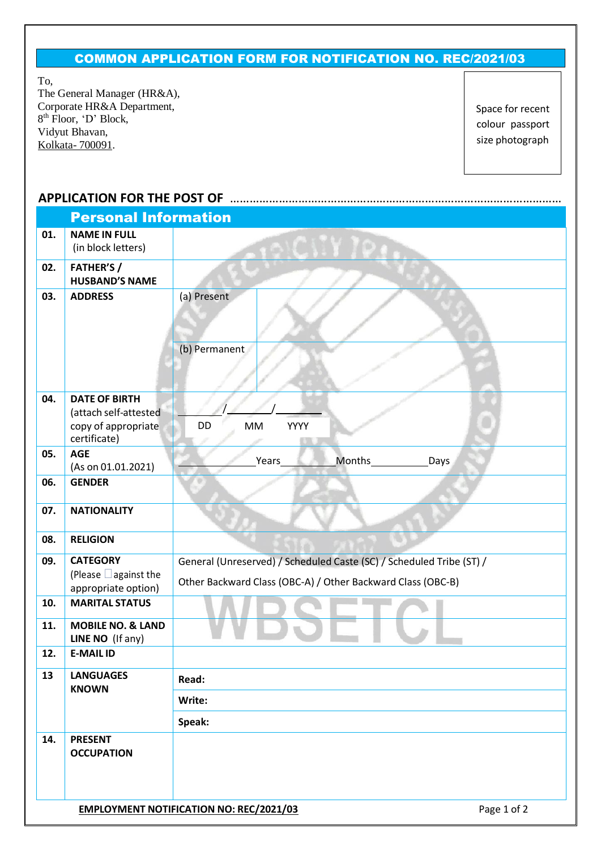## COMMON APPLICATION FORM FOR NOTIFICATION NO. REC/2021/03

To,

The General Manager (HR&A), Corporate HR&A Department, 8<sup>th</sup> Floor, 'D' Block, Vidyut Bhavan, Kolkata- 700091.

Space for recent colour passport size photograph

## **APPLICATION FOR THE POST OF** …………………………………………………………………………………………

| <b>Personal Information</b> |                                                                                      |                                                                                                                                     |  |  |  |  |  |
|-----------------------------|--------------------------------------------------------------------------------------|-------------------------------------------------------------------------------------------------------------------------------------|--|--|--|--|--|
| 01.                         | <b>NAME IN FULL</b><br>(in block letters)                                            |                                                                                                                                     |  |  |  |  |  |
| 02.                         | <b>FATHER'S /</b><br><b>HUSBAND'S NAME</b>                                           |                                                                                                                                     |  |  |  |  |  |
| 03.                         | <b>ADDRESS</b>                                                                       | (a) Present                                                                                                                         |  |  |  |  |  |
|                             |                                                                                      | (b) Permanent                                                                                                                       |  |  |  |  |  |
| 04.                         | <b>DATE OF BIRTH</b><br>(attach self-attested<br>copy of appropriate<br>certificate) | DD<br>YYYY<br>MM                                                                                                                    |  |  |  |  |  |
| 05.                         | <b>AGE</b><br>(As on 01.01.2021)                                                     | Months<br>Years<br>Days                                                                                                             |  |  |  |  |  |
| 06.                         | <b>GENDER</b>                                                                        |                                                                                                                                     |  |  |  |  |  |
| 07.                         | <b>NATIONALITY</b>                                                                   |                                                                                                                                     |  |  |  |  |  |
| 08.                         | <b>RELIGION</b>                                                                      |                                                                                                                                     |  |  |  |  |  |
| 09.                         | <b>CATEGORY</b><br>(Please $\Box$ against the<br>appropriate option)                 | General (Unreserved) / Scheduled Caste (SC) / Scheduled Tribe (ST) /<br>Other Backward Class (OBC-A) / Other Backward Class (OBC-B) |  |  |  |  |  |
| 10.                         | <b>MARITAL STATUS</b>                                                                |                                                                                                                                     |  |  |  |  |  |
| 11.                         | <b>MOBILE NO. &amp; LAND</b><br>LINE NO (If any)                                     |                                                                                                                                     |  |  |  |  |  |
| 12.                         | <b>E-MAIL ID</b>                                                                     |                                                                                                                                     |  |  |  |  |  |
| 13                          | <b>LANGUAGES</b><br><b>KNOWN</b>                                                     | Read:                                                                                                                               |  |  |  |  |  |
|                             |                                                                                      | Write:                                                                                                                              |  |  |  |  |  |
|                             |                                                                                      | Speak:                                                                                                                              |  |  |  |  |  |
| 14.                         | <b>PRESENT</b><br><b>OCCUPATION</b>                                                  |                                                                                                                                     |  |  |  |  |  |
|                             |                                                                                      | <b>EMPLOYMENT NOTIFICATION NO: REC/2021/03</b><br>Page 1 of 2                                                                       |  |  |  |  |  |